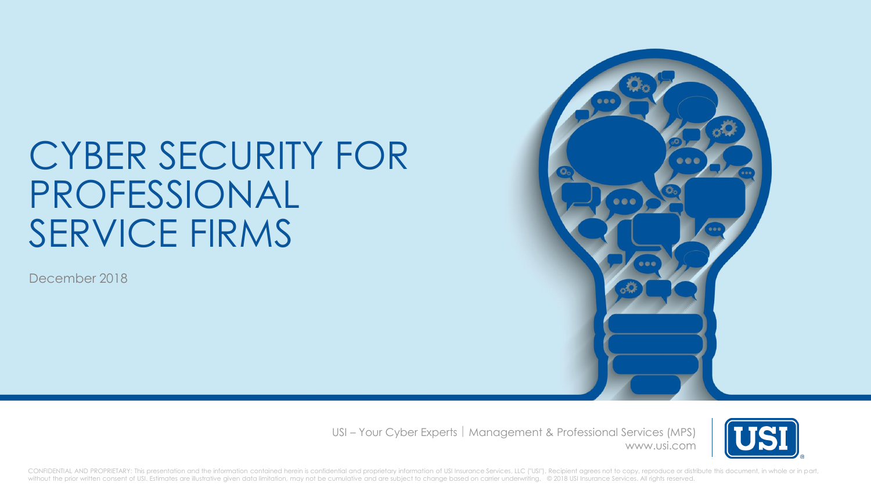# CYBER SECURITY FOR PROFESSIONAL SERVICE FIRMS

December 2018



USI – Your Cyber Experts | Management & Professional Services (MPS) www.usi.com



CONFIDENTIAL AND PROPRIETARY: This presentation and the information contained herein is confidential and proprietary information of USI Insurance Services, LLC ("USI"). Recipient agrees not to copy, reproduce or distribute without the prior written consent of USI. Estimates are illustrative given data limitation, may not be cumulative and are subject to change based on carrier underwriting. © 2018 USI Insurance Services. All rights reserved.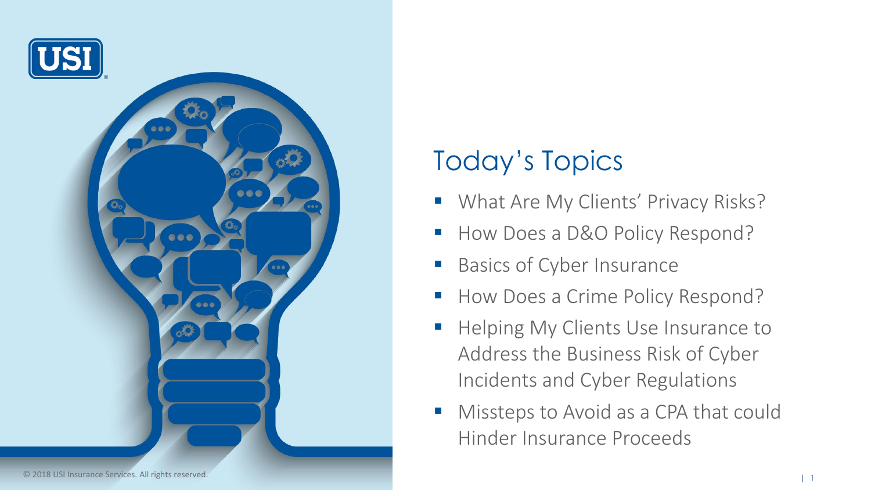

## Today's Topics

- What Are My Clients' Privacy Risks?
- How Does a D&O Policy Respond?
- Basics of Cyber Insurance
- How Does a Crime Policy Respond?
- Helping My Clients Use Insurance to Address the Business Risk of Cyber Incidents and Cyber Regulations
- Missteps to Avoid as a CPA that could Hinder Insurance Proceeds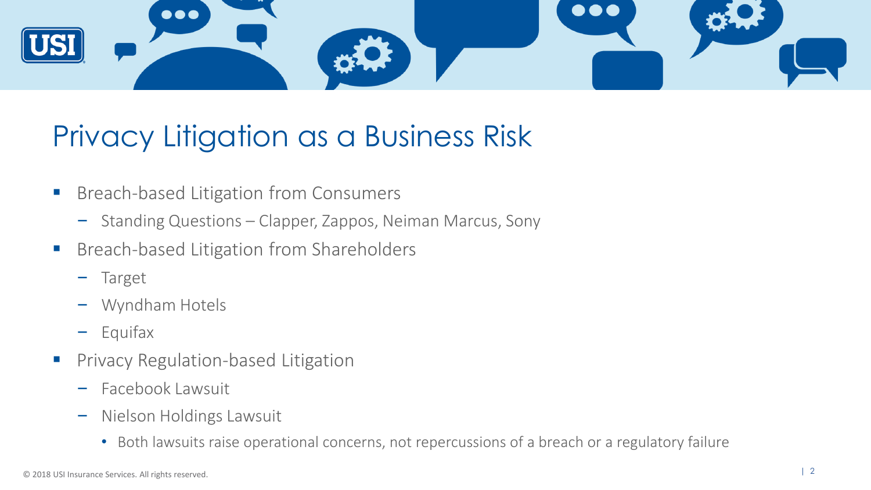

## Privacy Litigation as a Business Risk

- Breach-based Litigation from Consumers
	- Standing Questions Clapper, Zappos, Neiman Marcus, Sony
- Breach-based Litigation from Shareholders
	- Target
	- Wyndham Hotels
	- Equifax
- **Privacy Regulation-based Litigation** 
	- Facebook Lawsuit
	- Nielson Holdings Lawsuit
		- Both lawsuits raise operational concerns, not repercussions of a breach or a regulatory failure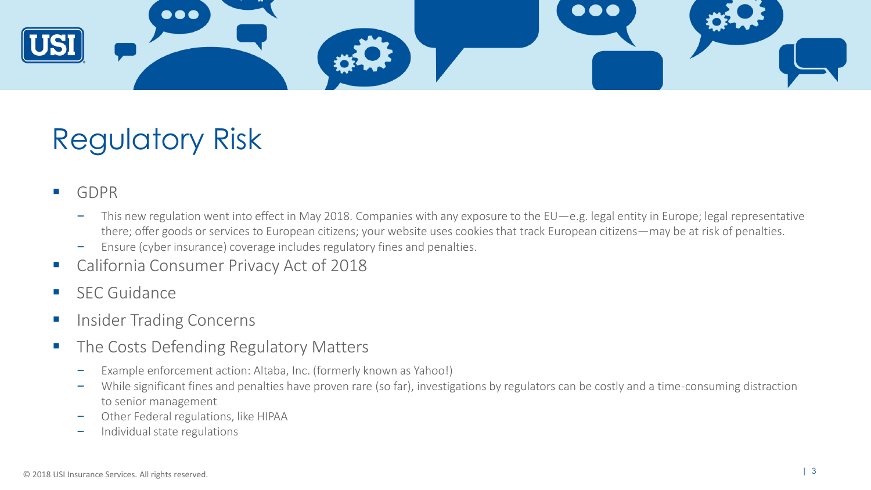

## Regulatory Risk

#### ■ GDPR

- This new regulation went into effect in May 2018. Companies with any exposure to the EU—e.g. legal entity in Europe; legal representative there; offer goods or services to European citizens; your website uses cookies that track European citizens—may be at risk of penalties.
- Ensure (cyber insurance) coverage includes regulatory fines and penalties.
- California Consumer Privacy Act of 2018
- SEC Guidance
- Insider Trading Concerns
- The Costs Defending Regulatory Matters
	- Example enforcement action: Altaba, Inc. (formerly known as Yahoo!)
	- While significant fines and penalties have proven rare (so far), investigations by regulators can be costly and a time-consuming distraction to senior management
	- Other Federal regulations, like HIPAA
	- Individual state regulations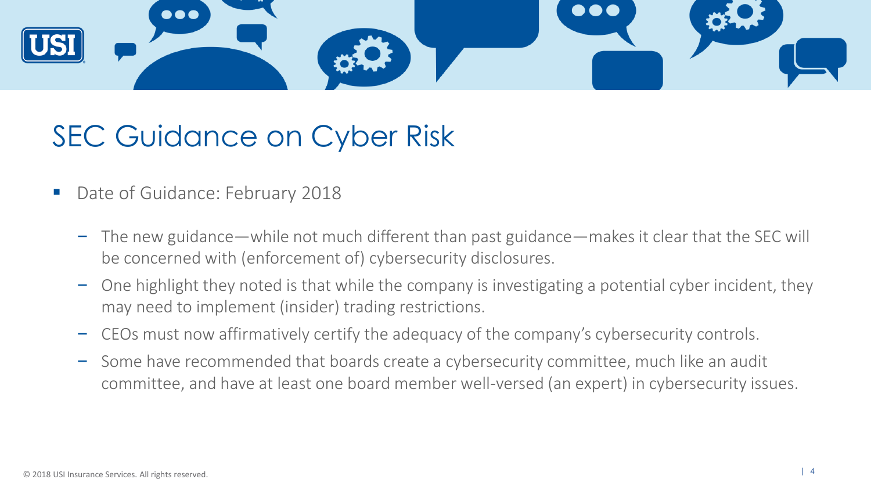

## SEC Guidance on Cyber Risk

- Date of Guidance: February 2018
	- The new guidance—while not much different than past guidance—makes it clear that the SEC will be concerned with (enforcement of) cybersecurity disclosures.
	- One highlight they noted is that while the company is investigating a potential cyber incident, they may need to implement (insider) trading restrictions.
	- CEOs must now affirmatively certify the adequacy of the company's cybersecurity controls.
	- Some have recommended that boards create a cybersecurity committee, much like an audit committee, and have at least one board member well-versed (an expert) in cybersecurity issues.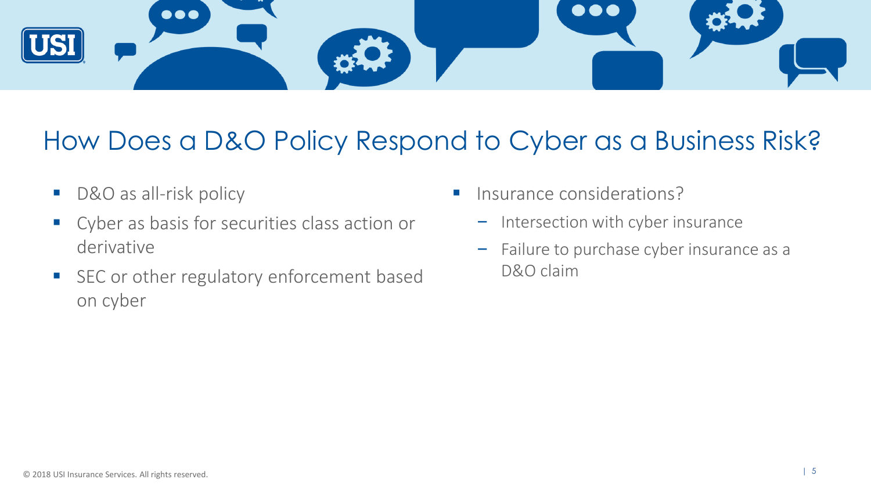

### How Does a D&O Policy Respond to Cyber as a Business Risk?

- D&O as all-risk policy
- Cyber as basis for securities class action or derivative
- SEC or other regulatory enforcement based on cyber
- Insurance considerations?
	- Intersection with cyber insurance
	- Failure to purchase cyber insurance as a D&O claim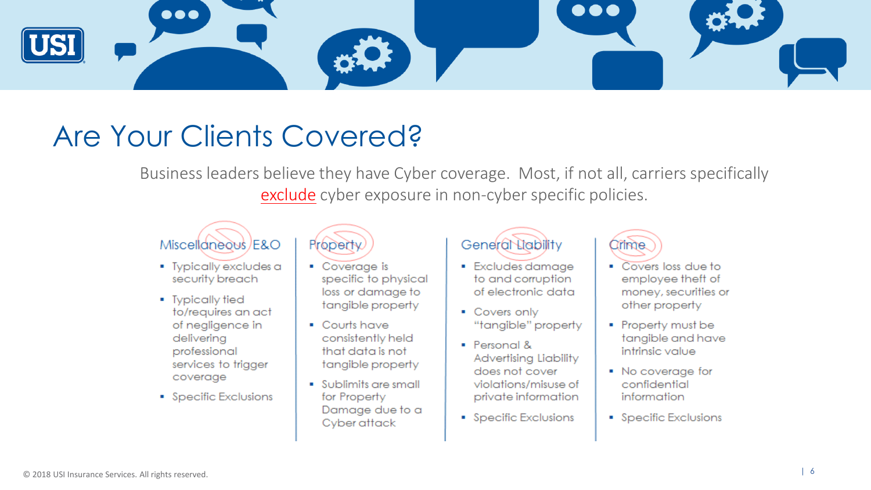

## Are Your Clients Covered?

Business leaders believe they have Cyber coverage. Most, if not all, carriers specifically exclude cyber exposure in non-cyber specific policies.

### Miscellaneous/E&O

- Typically excludes a security breach
- Typically tied to/requires an act of negligence in delivering professional services to trigger coverage
- Specific Exclusions



- Coverage is specific to physical loss or damage to tangible property
- Courts have consistently held that data is not tangible property
- Sublimits are small for Property Damage due to a Cyber attack

#### General Liability

- · Excludes damage to and corruption of electronic data
- Covers only "tangible" property
- $\blacksquare$  Personal & Advertising Liability does not cover violations/misuse of private information
- Specific Exclusions



- Covers loss due to employee theft of money, securities or other property
- Property must be tangible and have intrinsic value
- No coverage for confidential information
- Specific Exclusions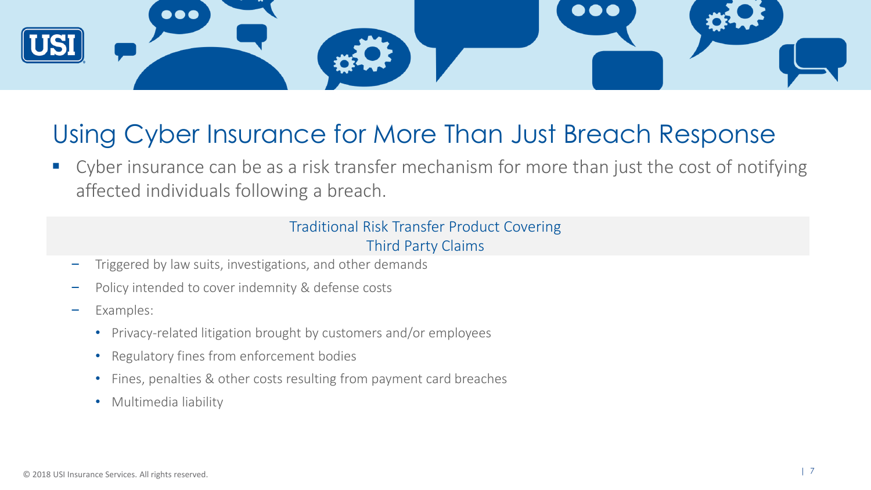

### Using Cyber Insurance for More Than Just Breach Response

■ Cyber insurance can be as a risk transfer mechanism for more than just the cost of notifying affected individuals following a breach.

#### Traditional Risk Transfer Product Covering Third Party Claims

- Triggered by law suits, investigations, and other demands
- Policy intended to cover indemnity & defense costs
- Examples:
	- Privacy-related litigation brought by customers and/or employees
	- Regulatory fines from enforcement bodies
	- Fines, penalties & other costs resulting from payment card breaches
	- Multimedia liability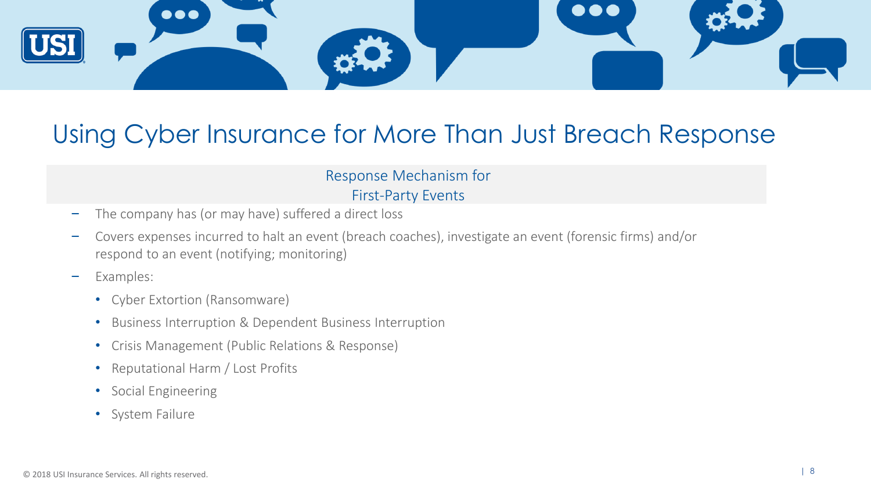

### Using Cyber Insurance for More Than Just Breach Response

#### Response Mechanism for First-Party Events

- The company has (or may have) suffered a direct loss
- Covers expenses incurred to halt an event (breach coaches), investigate an event (forensic firms) and/or respond to an event (notifying; monitoring)
- Examples:
	- Cyber Extortion (Ransomware)
	- Business Interruption & Dependent Business Interruption
	- Crisis Management (Public Relations & Response)
	- Reputational Harm / Lost Profits
	- Social Engineering
	- System Failure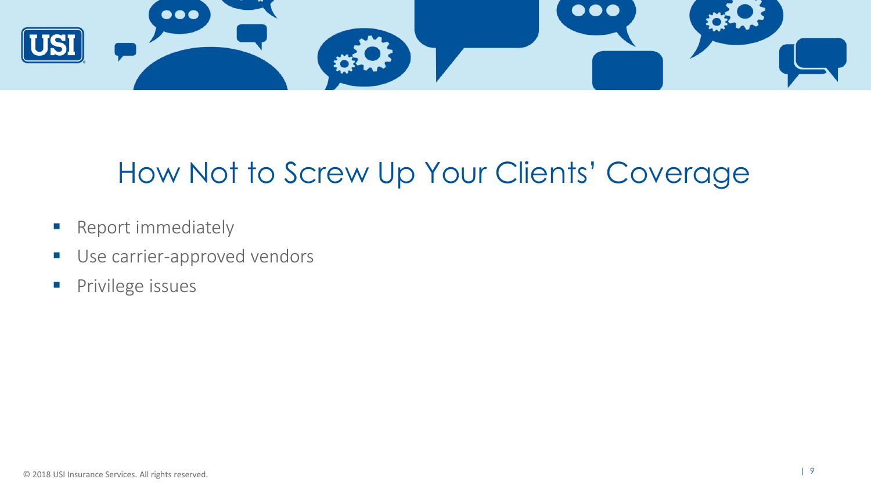

## How Not to Screw Up Your Clients' Coverage

- **E** Report immediately
- **■** Use carrier-approved vendors
- **Privilege issues**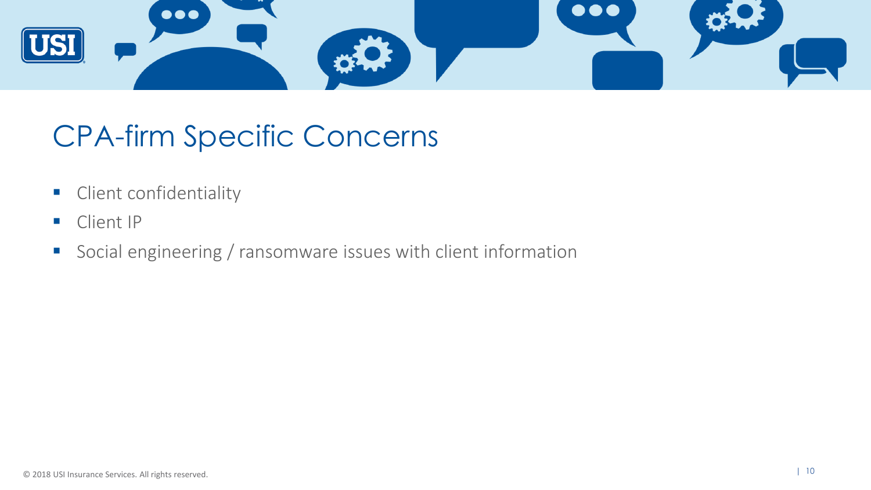

## CPA-firm Specific Concerns

- **EXECUTE:** Client confidentiality
- Client IP
- Social engineering / ransomware issues with client information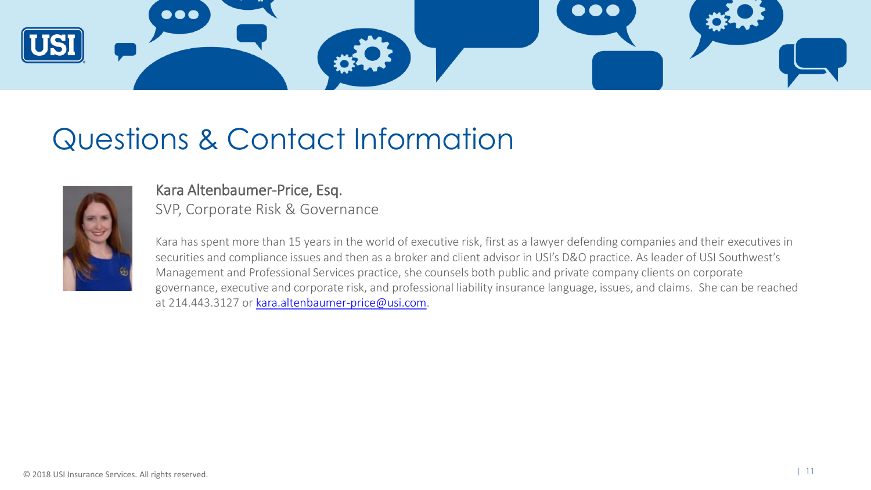

## Questions & Contact Information



#### Kara Altenbaumer-Price, Esq. SVP, Corporate Risk & Governance

Kara has spent more than 15 years in the world of executive risk, first as a lawyer defending companies and their executives in securities and compliance issues and then as a broker and client advisor in USI's D&O practice. As leader of USI Southwest's Management and Professional Services practice, she counsels both public and private company clients on corporate governance, executive and corporate risk, and professional liability insurance language, issues, and claims. She can be reached at 214.443.3127 or [kara.altenbaumer-price@usi.com](mailto:kara.altenbaumer-price@usi.com).